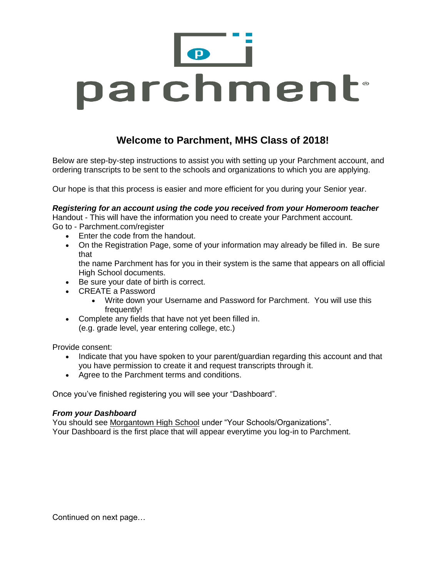

# **Welcome to Parchment, MHS Class of 2018!**

Below are step-by-step instructions to assist you with setting up your Parchment account, and ordering transcripts to be sent to the schools and organizations to which you are applying.

Our hope is that this process is easier and more efficient for you during your Senior year.

*Registering for an account using the code you received from your Homeroom teacher* Handout - This will have the information you need to create your Parchment account. Go to - Parchment.com/register

- Enter the code from the handout.
- On the Registration Page, some of your information may already be filled in. Be sure that

the name Parchment has for you in their system is the same that appears on all official High School documents.

- Be sure your date of birth is correct.
- CREATE a Password
	- Write down your Username and Password for Parchment. You will use this frequently!
- Complete any fields that have not yet been filled in. (e.g. grade level, year entering college, etc.)

Provide consent:

- Indicate that you have spoken to your parent/guardian regarding this account and that you have permission to create it and request transcripts through it.
- Agree to the Parchment terms and conditions.

Once you've finished registering you will see your "Dashboard".

#### *From your Dashboard*

You should see Morgantown High School under "Your Schools/Organizations". Your Dashboard is the first place that will appear everytime you log-in to Parchment.

Continued on next page…